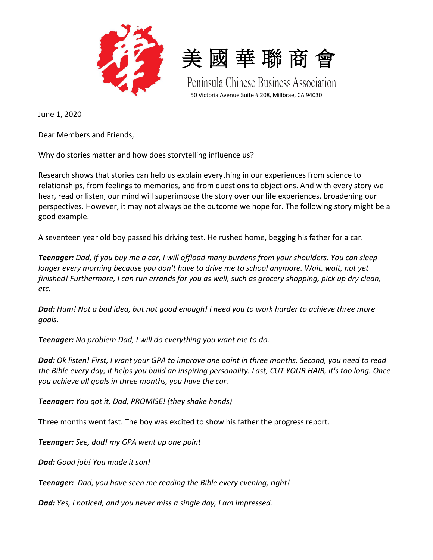



Peninsula Chinese Business Association 50 Victoria Avenue Suite # 208, Millbrae, CA 94030

June 1, 2020

Dear Members and Friends,

Why do stories matter and how does storytelling influence us?

Research shows that stories can help us explain everything in our experiences from science to relationships, from feelings to memories, and from questions to objections. And with every story we hear, read or listen, our mind will superimpose the story over our life experiences, broadening our perspectives. However, it may not always be the outcome we hope for. The following story might be a good example.

A seventeen year old boy passed his driving test. He rushed home, begging his father for a car.

*Teenager: Dad, if you buy me a car, I will offload many burdens from your shoulders. You can sleep longer every morning because you don't have to drive me to school anymore. Wait, wait, not yet finished! Furthermore, I can run errands for you as well, such as grocery shopping, pick up dry clean, etc.*

*Dad: Hum! Not a bad idea, but not good enough! I need you to work harder to achieve three more goals.*

*Teenager: No problem Dad, I will do everything you want me to do.*

*Dad: Ok listen! First, I want your GPA to improve one point in three months. Second, you need to read the Bible every day; it helps you build an inspiring personality. Last, CUT YOUR HAIR, it's too long. Once you achieve all goals in three months, you have the car.*

*Teenager: You got it, Dad, PROMISE! (they shake hands)*

Three months went fast. The boy was excited to show his father the progress report.

*Teenager: See, dad! my GPA went up one point*

*Dad: Good job! You made it son!*

*Teenager: Dad, you have seen me reading the Bible every evening, right!*

*Dad: Yes, I noticed, and you never miss a single day, I am impressed.*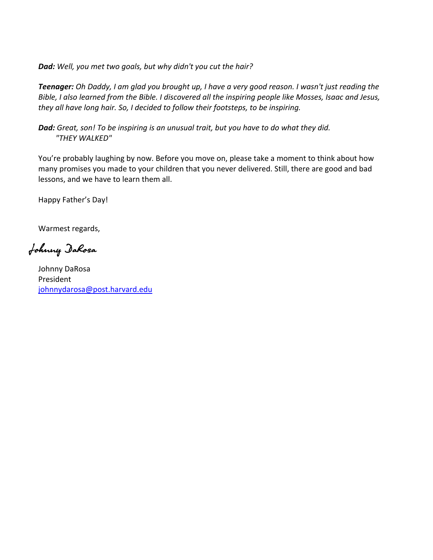*Dad: Well, you met two goals, but why didn't you cut the hair?*

*Teenager: Oh Daddy, I am glad you brought up, I have a very good reason. I wasn't just reading the Bible, I also learned from the Bible. I discovered all the inspiring people like Mosses, Isaac and Jesus, they all have long hair. So, I decided to follow their footsteps, to be inspiring.*

*Dad: Great, son! To be inspiring is an unusual trait, but you have to do what they did. "THEY WALKED"*

You're probably laughing by now. Before you move on, please take a moment to think about how many promises you made to your children that you never delivered. Still, there are good and bad lessons, and we have to learn them all.

Happy Father's Day!

Warmest regards,

Johnny DaRosa

Johnny DaRosa President johnnydarosa@post.harvard.edu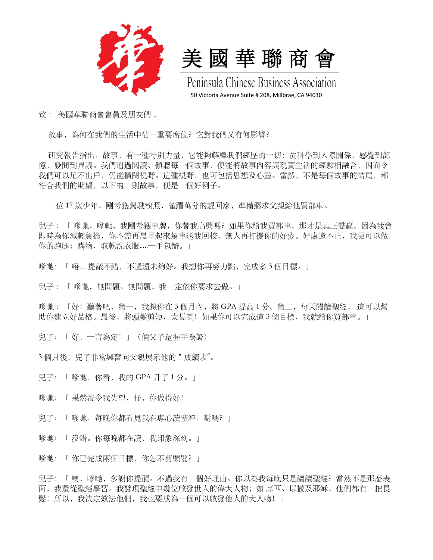

美 國 華 聯 商 會

Peninsula Chinese Business Association 50 Victoria Avenue Suite # 208, Millbrae, CA 94030

致 : 美國華聯商會會員及朋友們 ,

故事,為何在我們的生活中佔一重要席位? 它對我們又有何影響?

研究報告指出,故事,有一種特別力量,它能夠解釋我們經歷的一切;從科學到人際關係,感覺到記 憶,發問到異議。我們通過閱讀、傾聽每一個故事,便能將故事內容與現實牛活的經驗相融合,因而令 我們可以足不出戶,仍能擴闊視野。這種視野,也可包括思想及心靈。當然,不是每個故事的結局,都 符合我們的期望,以下的一則故事,便是一個好例子。

一位 17 歲少年, 剛考獲駕駛執照, 雀躍萬分的趕回家, 準備懇求父親給他買部車。

兒子: 「 嗲哋、嗲哋,我剛考獲車牌, 你替我高興嗎? 如果你給我買部車, 那才是真正雙贏。因為我會 即時為你減輕負擔,你不需再晨早起來駕車送我回校,無人再打擾你的好夢。好處還不止,我更可以做 你的跑腿;購物、取乾洗衣服.....一手包辦。」

**嗲**哋: 「 唔.....提議不錯, 不過還未夠好。我想你再努力點, 完成多 3 個目標。」

兒子:「 嗲哋, 無問題、無問題, 我一定依你要求去做。」

嗲哋:「好!聽著吧, 第一, 我想你在 3 個月內, 將 GPA 提高 1 分。第二, 每天閱讀聖經, 這可以幫 助你建立好品格。最後,將頭髣剪短,太長喇!如果你可以完成這 3 個目標,我就給你買部車。」

兒子: 「好, 一言為定! 」 (倆父子還握手為證)

3個月後,兒子非常興奮向父親展示他的 "成績表"。

- 兒子: 「 嗲哋, 你看, 我的 GPA 升了 1 分。
- 嗲哋:「 果然沒令我失望,仔,你做得好!
- 兒子: 「 嗲哋, 每晚你都看見我在専心讀聖經, 對嗎? 」
- 嗲哋:「 沒錯。你每晚都在讀,我印象深刻。」

嗲哋: 「 你已完成兩個目標, 你怎不剪頭髮? 」

兒子: 「噢,嗲哋,多謝你提醒。不過我有一個好理由。你以為我每晚只是讀讀聖經?當然不是那麼表 面,我還從聖經學習。我發現聖經中幾位啟發世人的偉大人物;如 摩西、以撒及耶穌,他們都有一把長 髮! 所以,我決定效法他們,我也要成為一個可以啟發他人的大人物! 」